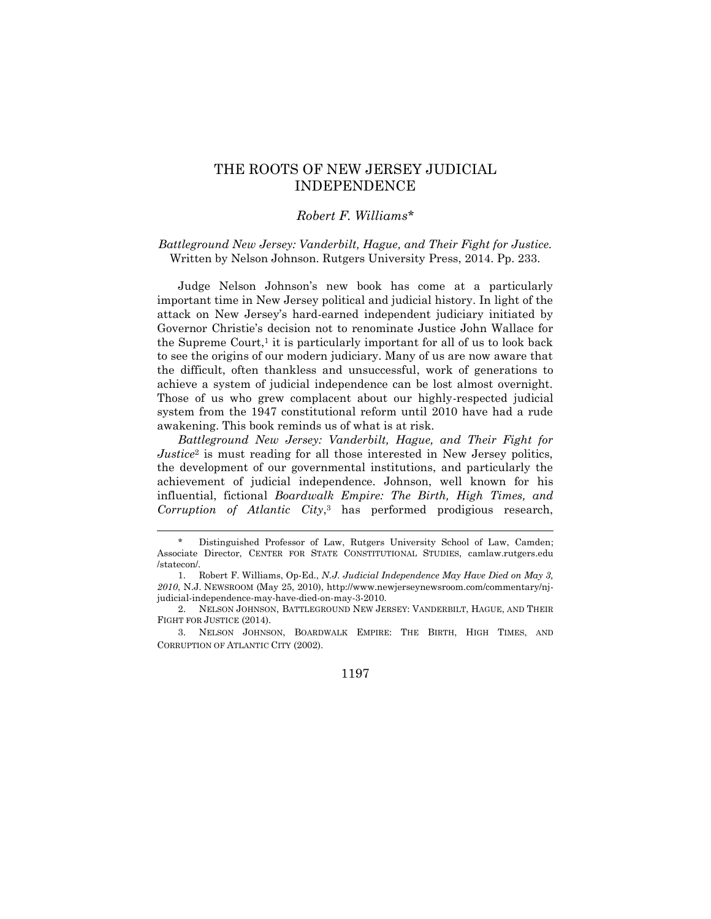## THE ROOTS OF NEW JERSEY JUDICIAL INDEPENDENCE

## *Robert F. Williams*\*

*Battleground New Jersey: Vanderbilt, Hague, and Their Fight for Justice.*  Written by Nelson Johnson. Rutgers University Press, 2014. Pp. 233.

Judge Nelson Johnson's new book has come at a particularly important time in New Jersey political and judicial history. In light of the attack on New Jersey's hard-earned independent judiciary initiated by Governor Christie's decision not to renominate Justice John Wallace for the Supreme Court, $<sup>1</sup>$  it is particularly important for all of us to look back</sup> to see the origins of our modern judiciary. Many of us are now aware that the difficult, often thankless and unsuccessful, work of generations to achieve a system of judicial independence can be lost almost overnight. Those of us who grew complacent about our highly-respected judicial system from the 1947 constitutional reform until 2010 have had a rude awakening. This book reminds us of what is at risk.

*Battleground New Jersey: Vanderbilt, Hague, and Their Fight for Justice*<sup>2</sup> is must reading for all those interested in New Jersey politics, the development of our governmental institutions, and particularly the achievement of judicial independence. Johnson, well known for his influential, fictional *Boardwalk Empire: The Birth, High Times, and Corruption of Atlantic City*, <sup>3</sup> has performed prodigious research,

 $\overline{a}$ 

Distinguished Professor of Law, Rutgers University School of Law, Camden; Associate Director, CENTER FOR STATE CONSTITUTIONAL STUDIES, camlaw.rutgers.edu /statecon/.

<sup>1.</sup> Robert F. Williams, Op-Ed., *N.J. Judicial Independence May Have Died on May 3, 2010*, N.J. NEWSROOM (May 25, 2010), http://www.newjerseynewsroom.com/commentary/njjudicial-independence-may-have-died-on-may-3-2010.

<sup>2.</sup> NELSON JOHNSON, BATTLEGROUND NEW JERSEY: VANDERBILT, HAGUE, AND THEIR FIGHT FOR JUSTICE (2014).

<sup>3.</sup> NELSON JOHNSON, BOARDWALK EMPIRE: THE BIRTH, HIGH TIMES, AND CORRUPTION OF ATLANTIC CITY (2002).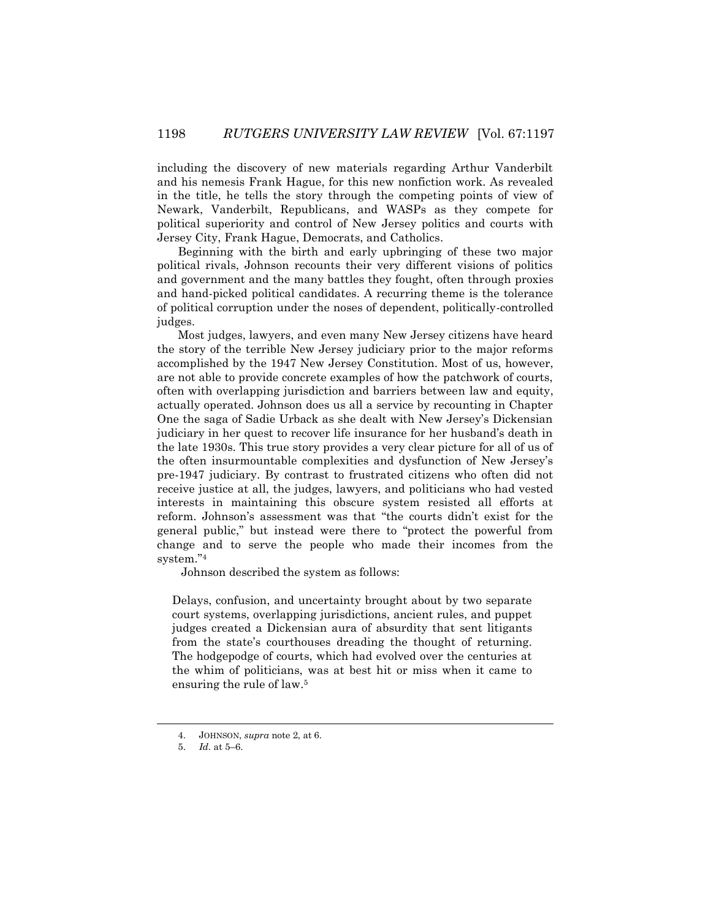including the discovery of new materials regarding Arthur Vanderbilt and his nemesis Frank Hague, for this new nonfiction work. As revealed in the title, he tells the story through the competing points of view of Newark, Vanderbilt, Republicans, and WASPs as they compete for political superiority and control of New Jersey politics and courts with Jersey City, Frank Hague, Democrats, and Catholics.

Beginning with the birth and early upbringing of these two major political rivals, Johnson recounts their very different visions of politics and government and the many battles they fought, often through proxies and hand-picked political candidates. A recurring theme is the tolerance of political corruption under the noses of dependent, politically-controlled judges.

Most judges, lawyers, and even many New Jersey citizens have heard the story of the terrible New Jersey judiciary prior to the major reforms accomplished by the 1947 New Jersey Constitution. Most of us, however, are not able to provide concrete examples of how the patchwork of courts, often with overlapping jurisdiction and barriers between law and equity, actually operated. Johnson does us all a service by recounting in Chapter One the saga of Sadie Urback as she dealt with New Jersey's Dickensian judiciary in her quest to recover life insurance for her husband's death in the late 1930s. This true story provides a very clear picture for all of us of the often insurmountable complexities and dysfunction of New Jersey's pre-1947 judiciary. By contrast to frustrated citizens who often did not receive justice at all, the judges, lawyers, and politicians who had vested interests in maintaining this obscure system resisted all efforts at reform. Johnson's assessment was that "the courts didn't exist for the general public," but instead were there to "protect the powerful from change and to serve the people who made their incomes from the system."<sup>4</sup>

Johnson described the system as follows:

Delays, confusion, and uncertainty brought about by two separate court systems, overlapping jurisdictions, ancient rules, and puppet judges created a Dickensian aura of absurdity that sent litigants from the state's courthouses dreading the thought of returning. The hodgepodge of courts, which had evolved over the centuries at the whim of politicians, was at best hit or miss when it came to ensuring the rule of law. 5

 $\overline{\phantom{a}}$ 

<sup>4.</sup> JOHNSON, *supra* note 2, at 6.

<sup>5.</sup> *Id.* at 5–6.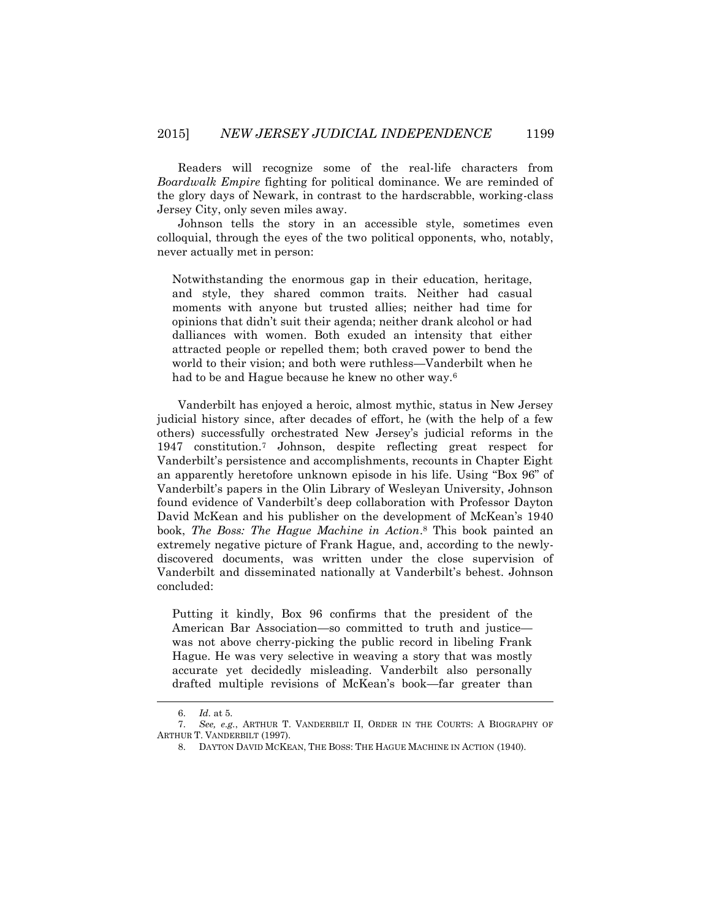Readers will recognize some of the real-life characters from *Boardwalk Empire* fighting for political dominance. We are reminded of the glory days of Newark, in contrast to the hardscrabble, working-class Jersey City, only seven miles away.

Johnson tells the story in an accessible style, sometimes even colloquial, through the eyes of the two political opponents, who, notably, never actually met in person:

Notwithstanding the enormous gap in their education, heritage, and style, they shared common traits. Neither had casual moments with anyone but trusted allies; neither had time for opinions that didn't suit their agenda; neither drank alcohol or had dalliances with women. Both exuded an intensity that either attracted people or repelled them; both craved power to bend the world to their vision; and both were ruthless—Vanderbilt when he had to be and Hague because he knew no other way.<sup>6</sup>

Vanderbilt has enjoyed a heroic, almost mythic, status in New Jersey judicial history since, after decades of effort, he (with the help of a few others) successfully orchestrated New Jersey's judicial reforms in the 1947 constitution.<sup>7</sup> Johnson, despite reflecting great respect for Vanderbilt's persistence and accomplishments, recounts in Chapter Eight an apparently heretofore unknown episode in his life. Using "Box 96" of Vanderbilt's papers in the Olin Library of Wesleyan University, Johnson found evidence of Vanderbilt's deep collaboration with Professor Dayton David McKean and his publisher on the development of McKean's 1940 book, *The Boss: The Hague Machine in Action*. <sup>8</sup> This book painted an extremely negative picture of Frank Hague, and, according to the newlydiscovered documents, was written under the close supervision of Vanderbilt and disseminated nationally at Vanderbilt's behest. Johnson concluded:

Putting it kindly, Box 96 confirms that the president of the American Bar Association—so committed to truth and justice was not above cherry-picking the public record in libeling Frank Hague. He was very selective in weaving a story that was mostly accurate yet decidedly misleading. Vanderbilt also personally drafted multiple revisions of McKean's book—far greater than

 $\overline{\phantom{a}}$ 

<sup>6.</sup> *Id.* at 5.

<sup>7.</sup> *See, e.g.*, ARTHUR T. VANDERBILT II, ORDER IN THE COURTS: A BIOGRAPHY OF ARTHUR T. VANDERBILT (1997).

<sup>8.</sup> DAYTON DAVID MCKEAN, THE BOSS: THE HAGUE MACHINE IN ACTION (1940).